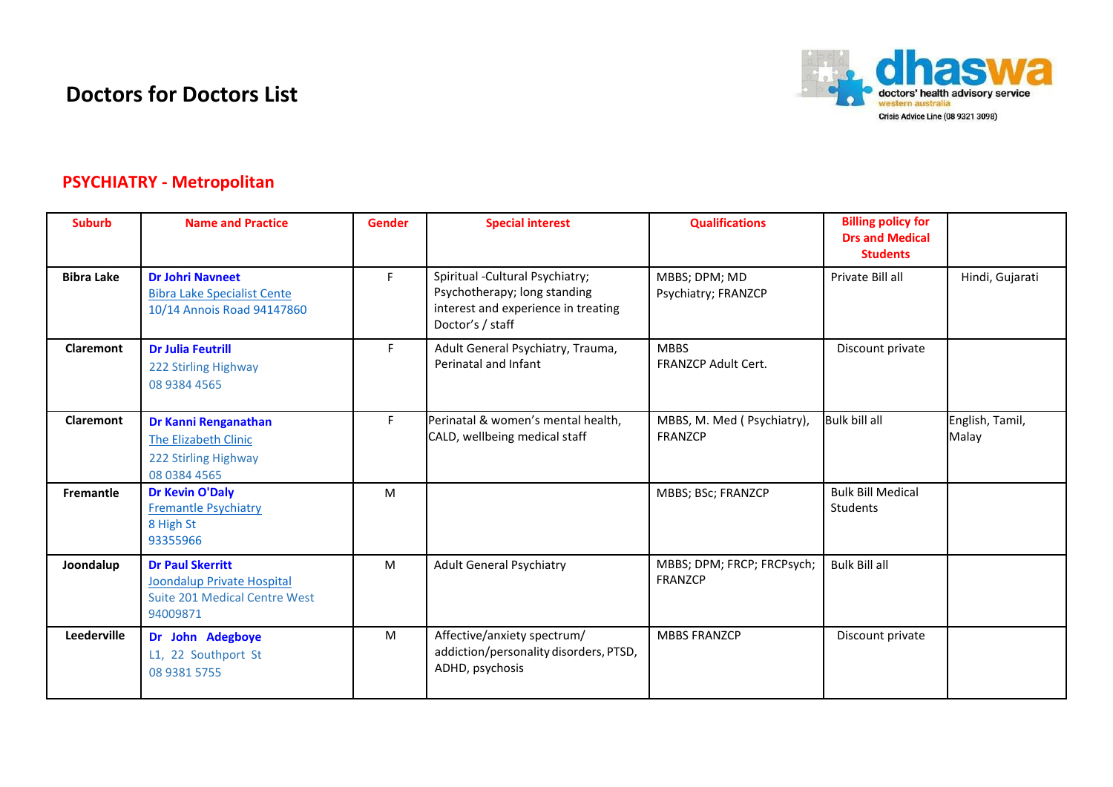## **Doctors for Doctors List**



## **PSYCHIATRY - Metropolitan**

| <b>Suburb</b>     | <b>Name and Practice</b>                                                                                  | <b>Gender</b> | <b>Special interest</b>                                                                                                     | <b>Qualifications</b>                        | <b>Billing policy for</b><br><b>Drs and Medical</b><br><b>Students</b> |                          |
|-------------------|-----------------------------------------------------------------------------------------------------------|---------------|-----------------------------------------------------------------------------------------------------------------------------|----------------------------------------------|------------------------------------------------------------------------|--------------------------|
| <b>Bibra Lake</b> | <b>Dr Johri Navneet</b><br><b>Bibra Lake Specialist Cente</b><br>10/14 Annois Road 94147860               | F.            | Spiritual - Cultural Psychiatry;<br>Psychotherapy; long standing<br>interest and experience in treating<br>Doctor's / staff | MBBS; DPM; MD<br>Psychiatry; FRANZCP         | Private Bill all                                                       | Hindi, Gujarati          |
| <b>Claremont</b>  | <b>Dr Julia Feutrill</b><br>222 Stirling Highway<br>08 9384 4565                                          | F.            | Adult General Psychiatry, Trauma,<br>Perinatal and Infant                                                                   | <b>MBBS</b><br><b>FRANZCP Adult Cert.</b>    | Discount private                                                       |                          |
| <b>Claremont</b>  | Dr Kanni Renganathan<br><b>The Elizabeth Clinic</b><br>222 Stirling Highway<br>08 0384 4565               | F.            | Perinatal & women's mental health,<br>CALD, wellbeing medical staff                                                         | MBBS, M. Med (Psychiatry),<br><b>FRANZCP</b> | <b>Bulk bill all</b>                                                   | English, Tamil,<br>Malay |
| <b>Fremantle</b>  | <b>Dr Kevin O'Daly</b><br><b>Fremantle Psychiatry</b><br>8 High St<br>93355966                            | M             |                                                                                                                             | MBBS; BSc; FRANZCP                           | <b>Bulk Bill Medical</b><br>Students                                   |                          |
| Joondalup         | <b>Dr Paul Skerritt</b><br>Joondalup Private Hospital<br><b>Suite 201 Medical Centre West</b><br>94009871 | М             | <b>Adult General Psychiatry</b>                                                                                             | MBBS; DPM; FRCP; FRCPsych;<br>FRANZCP        | <b>Bulk Bill all</b>                                                   |                          |
| Leederville       | Dr John Adegboye<br>L1, 22 Southport St<br>08 9381 5755                                                   | M             | Affective/anxiety spectrum/<br>addiction/personality disorders, PTSD,<br>ADHD, psychosis                                    | <b>MBBS FRANZCP</b>                          | Discount private                                                       |                          |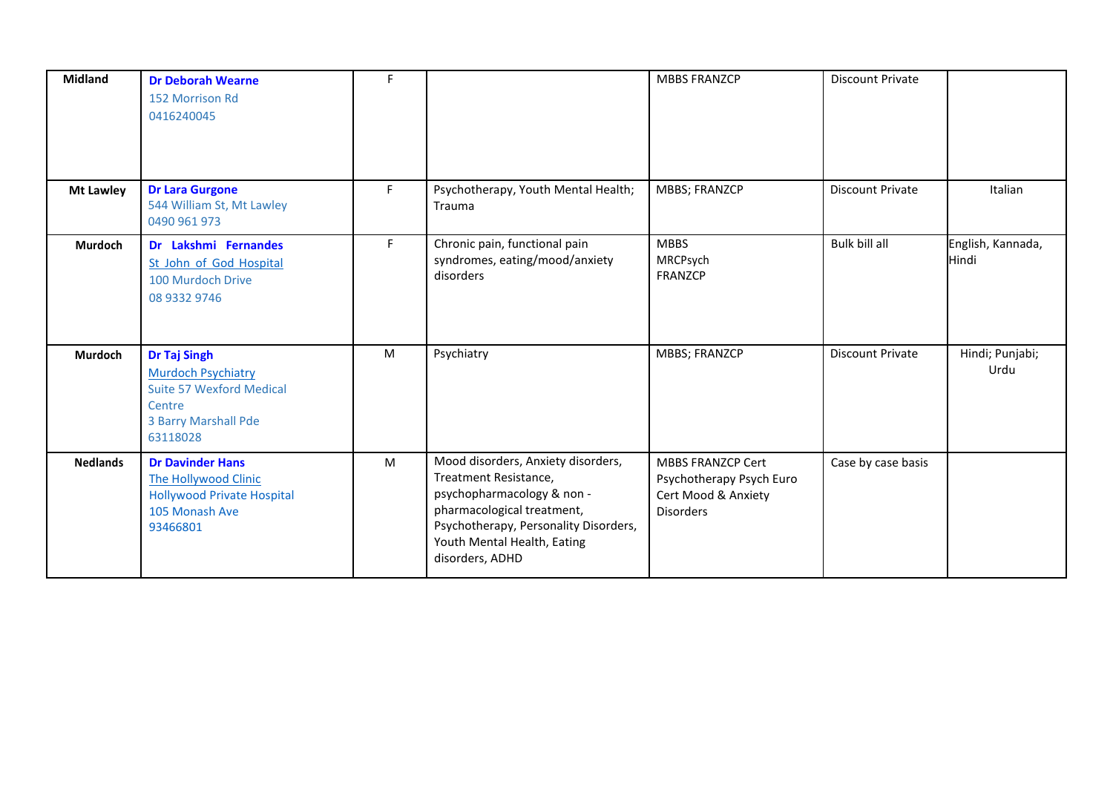| <b>Midland</b>   | <b>Dr Deborah Wearne</b><br>152 Morrison Rd<br>0416240045                                                                  | F. |                                                                                                                                                                                                                    | <b>MBBS FRANZCP</b>                                                                             | <b>Discount Private</b> |                            |
|------------------|----------------------------------------------------------------------------------------------------------------------------|----|--------------------------------------------------------------------------------------------------------------------------------------------------------------------------------------------------------------------|-------------------------------------------------------------------------------------------------|-------------------------|----------------------------|
| <b>Mt Lawley</b> | <b>Dr Lara Gurgone</b><br>544 William St, Mt Lawley<br>0490 961 973                                                        | F. | Psychotherapy, Youth Mental Health;<br>Trauma                                                                                                                                                                      | MBBS; FRANZCP                                                                                   | <b>Discount Private</b> | Italian                    |
| Murdoch          | Dr Lakshmi Fernandes<br>St John of God Hospital<br>100 Murdoch Drive<br>08 9332 9746                                       | F. | Chronic pain, functional pain<br>syndromes, eating/mood/anxiety<br>disorders                                                                                                                                       | <b>MBBS</b><br>MRCPsych<br>FRANZCP                                                              | Bulk bill all           | English, Kannada,<br>Hindi |
| Murdoch          | <b>Dr Taj Singh</b><br><b>Murdoch Psychiatry</b><br>Suite 57 Wexford Medical<br>Centre<br>3 Barry Marshall Pde<br>63118028 | M  | Psychiatry                                                                                                                                                                                                         | <b>MBBS; FRANZCP</b>                                                                            | <b>Discount Private</b> | Hindi; Punjabi;<br>Urdu    |
| <b>Nedlands</b>  | <b>Dr Davinder Hans</b><br>The Hollywood Clinic<br><b>Hollywood Private Hospital</b><br>105 Monash Ave<br>93466801         | M  | Mood disorders, Anxiety disorders,<br>Treatment Resistance,<br>psychopharmacology & non -<br>pharmacological treatment,<br>Psychotherapy, Personality Disorders,<br>Youth Mental Health, Eating<br>disorders, ADHD | <b>MBBS FRANZCP Cert</b><br>Psychotherapy Psych Euro<br>Cert Mood & Anxiety<br><b>Disorders</b> | Case by case basis      |                            |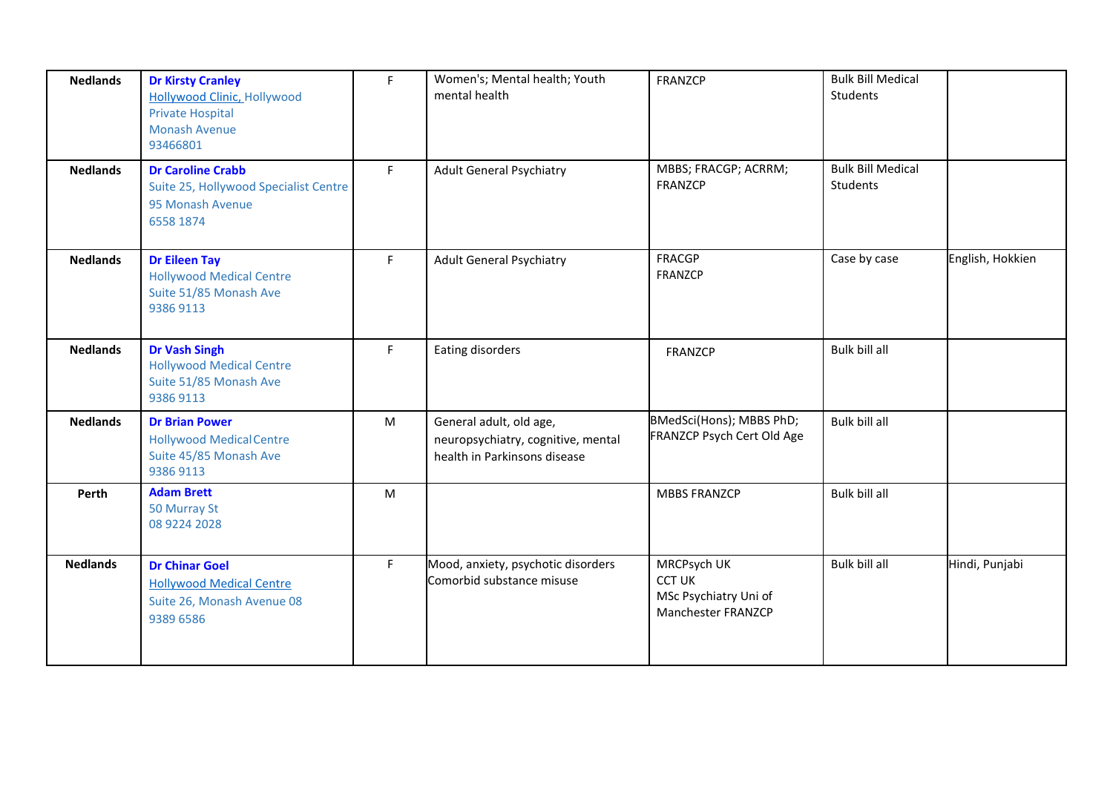| <b>Nedlands</b> | <b>Dr Kirsty Cranley</b><br><b>Hollywood Clinic, Hollywood</b><br><b>Private Hospital</b><br><b>Monash Avenue</b><br>93466801 | F  | Women's; Mental health; Youth<br>mental health                                                | FRANZCP                                                                     | <b>Bulk Bill Medical</b><br>Students |                  |
|-----------------|-------------------------------------------------------------------------------------------------------------------------------|----|-----------------------------------------------------------------------------------------------|-----------------------------------------------------------------------------|--------------------------------------|------------------|
| <b>Nedlands</b> | <b>Dr Caroline Crabb</b><br>Suite 25, Hollywood Specialist Centre<br>95 Monash Avenue<br>6558 1874                            | F. | <b>Adult General Psychiatry</b>                                                               | MBBS; FRACGP; ACRRM;<br>FRANZCP                                             | <b>Bulk Bill Medical</b><br>Students |                  |
| <b>Nedlands</b> | <b>Dr Eileen Tay</b><br><b>Hollywood Medical Centre</b><br>Suite 51/85 Monash Ave<br>9386 9113                                | F  | <b>Adult General Psychiatry</b>                                                               | <b>FRACGP</b><br>FRANZCP                                                    | Case by case                         | English, Hokkien |
| <b>Nedlands</b> | <b>Dr Vash Singh</b><br><b>Hollywood Medical Centre</b><br>Suite 51/85 Monash Ave<br>9386 9113                                | F  | Eating disorders                                                                              | <b>FRANZCP</b>                                                              | Bulk bill all                        |                  |
| <b>Nedlands</b> | <b>Dr Brian Power</b><br><b>Hollywood Medical Centre</b><br>Suite 45/85 Monash Ave<br>9386 9113                               | M  | General adult, old age,<br>neuropsychiatry, cognitive, mental<br>health in Parkinsons disease | BMedSci(Hons); MBBS PhD;<br>FRANZCP Psych Cert Old Age                      | Bulk bill all                        |                  |
| Perth           | <b>Adam Brett</b><br>50 Murray St<br>08 9224 2028                                                                             | M  |                                                                                               | <b>MBBS FRANZCP</b>                                                         | Bulk bill all                        |                  |
| <b>Nedlands</b> | <b>Dr Chinar Goel</b><br><b>Hollywood Medical Centre</b><br>Suite 26, Monash Avenue 08<br>9389 6586                           | F. | Mood, anxiety, psychotic disorders<br>Comorbid substance misuse                               | MRCPsych UK<br><b>CCT UK</b><br>MSc Psychiatry Uni of<br>Manchester FRANZCP | Bulk bill all                        | Hindi, Punjabi   |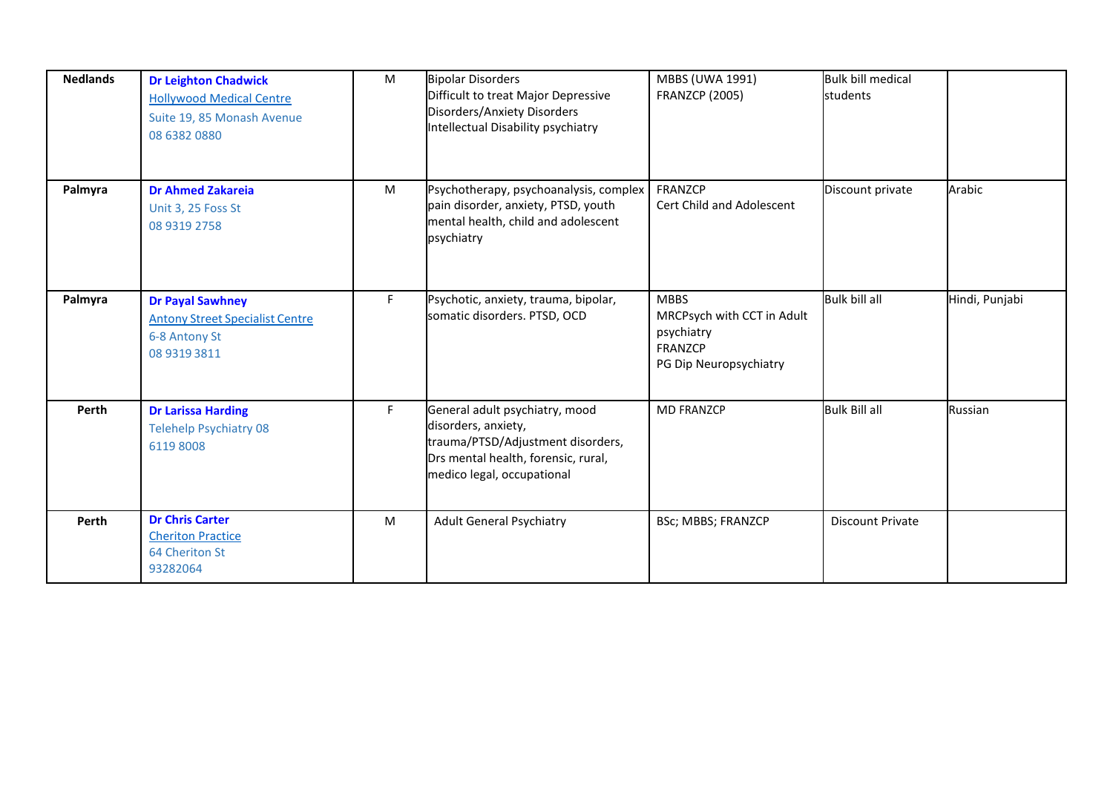| <b>Nedlands</b> | <b>Dr Leighton Chadwick</b><br><b>Hollywood Medical Centre</b><br>Suite 19, 85 Monash Avenue<br>08 6382 0880 | M  | <b>Bipolar Disorders</b><br>Difficult to treat Major Depressive<br>Disorders/Anxiety Disorders<br>Intellectual Disability psychiatry                            | MBBS (UWA 1991)<br><b>FRANZCP (2005)</b>                                                     | <b>Bulk bill medical</b><br>students |                |
|-----------------|--------------------------------------------------------------------------------------------------------------|----|-----------------------------------------------------------------------------------------------------------------------------------------------------------------|----------------------------------------------------------------------------------------------|--------------------------------------|----------------|
| Palmyra         | <b>Dr Ahmed Zakareia</b><br>Unit 3, 25 Foss St<br>08 9319 2758                                               | M  | Psychotherapy, psychoanalysis, complex<br>pain disorder, anxiety, PTSD, youth<br>mental health, child and adolescent<br>psychiatry                              | FRANZCP<br>Cert Child and Adolescent                                                         | Discount private                     | Arabic         |
| Palmyra         | <b>Dr Payal Sawhney</b><br><b>Antony Street Specialist Centre</b><br>6-8 Antony St<br>08 9319 3811           | F. | Psychotic, anxiety, trauma, bipolar,<br>somatic disorders. PTSD, OCD                                                                                            | <b>MBBS</b><br>MRCPsych with CCT in Adult<br>psychiatry<br>FRANZCP<br>PG Dip Neuropsychiatry | <b>Bulk bill all</b>                 | Hindi, Punjabi |
| Perth           | <b>Dr Larissa Harding</b><br><b>Telehelp Psychiatry 08</b><br>61198008                                       | F. | General adult psychiatry, mood<br>disorders, anxiety,<br>trauma/PTSD/Adjustment disorders,<br>Drs mental health, forensic, rural,<br>medico legal, occupational | <b>MD FRANZCP</b>                                                                            | <b>Bulk Bill all</b>                 | Russian        |
| Perth           | <b>Dr Chris Carter</b><br><b>Cheriton Practice</b><br>64 Cheriton St<br>93282064                             | M  | Adult General Psychiatry                                                                                                                                        | BSc; MBBS; FRANZCP                                                                           | <b>Discount Private</b>              |                |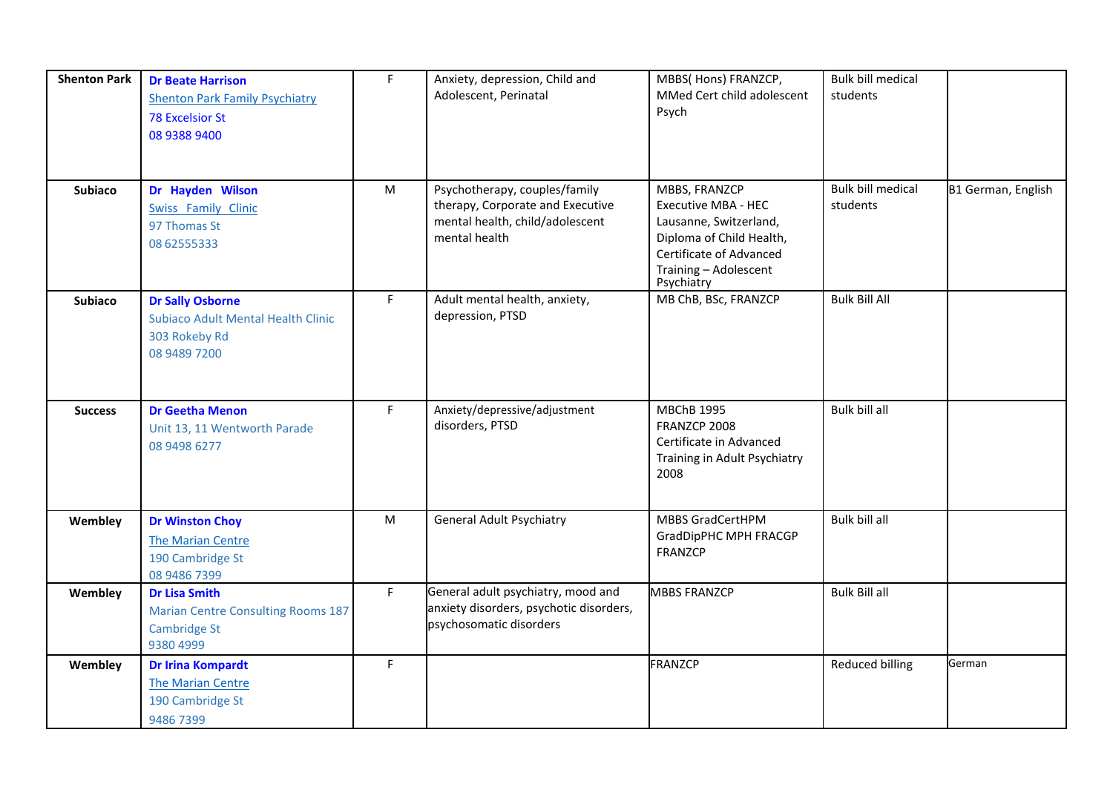| <b>Shenton Park</b> | <b>Dr Beate Harrison</b><br><b>Shenton Park Family Psychiatry</b><br><b>78 Excelsior St</b><br>08 9388 9400 | $\mathsf F$ | Anxiety, depression, Child and<br>Adolescent, Perinatal                                                               | MBBS( Hons) FRANZCP,<br>MMed Cert child adolescent<br>Psych                                                                                                  | <b>Bulk bill medical</b><br>students |                    |
|---------------------|-------------------------------------------------------------------------------------------------------------|-------------|-----------------------------------------------------------------------------------------------------------------------|--------------------------------------------------------------------------------------------------------------------------------------------------------------|--------------------------------------|--------------------|
| <b>Subiaco</b>      | Dr Hayden Wilson<br><b>Swiss Family Clinic</b><br>97 Thomas St<br>0862555333                                | M           | Psychotherapy, couples/family<br>therapy, Corporate and Executive<br>mental health, child/adolescent<br>mental health | MBBS, FRANZCP<br>Executive MBA - HEC<br>Lausanne, Switzerland,<br>Diploma of Child Health,<br>Certificate of Advanced<br>Training - Adolescent<br>Psychiatry | <b>Bulk bill medical</b><br>students | B1 German, English |
| <b>Subiaco</b>      | <b>Dr Sally Osborne</b><br><b>Subiaco Adult Mental Health Clinic</b><br>303 Rokeby Rd<br>08 9489 7200       | F           | Adult mental health, anxiety,<br>depression, PTSD                                                                     | MB ChB, BSc, FRANZCP                                                                                                                                         | <b>Bulk Bill All</b>                 |                    |
| <b>Success</b>      | <b>Dr Geetha Menon</b><br>Unit 13, 11 Wentworth Parade<br>08 9498 6277                                      | F           | Anxiety/depressive/adjustment<br>disorders, PTSD                                                                      | <b>MBChB 1995</b><br>FRANZCP 2008<br>Certificate in Advanced<br>Training in Adult Psychiatry<br>2008                                                         | Bulk bill all                        |                    |
| Wembley             | <b>Dr Winston Choy</b><br><b>The Marian Centre</b><br>190 Cambridge St<br>08 9486 7399                      | ${\sf M}$   | <b>General Adult Psychiatry</b>                                                                                       | <b>MBBS GradCertHPM</b><br>GradDipPHC MPH FRACGP<br><b>FRANZCP</b>                                                                                           | <b>Bulk bill all</b>                 |                    |
| Wembley             | <b>Dr Lisa Smith</b><br><b>Marian Centre Consulting Rooms 187</b><br><b>Cambridge St</b><br>9380 4999       | F           | General adult psychiatry, mood and<br>anxiety disorders, psychotic disorders,<br>psychosomatic disorders              | <b>MBBS FRANZCP</b>                                                                                                                                          | <b>Bulk Bill all</b>                 |                    |
| Wembley             | <b>Dr Irina Kompardt</b><br>The Marian Centre<br>190 Cambridge St<br>9486 7399                              | F           |                                                                                                                       | <b>FRANZCP</b>                                                                                                                                               | <b>Reduced billing</b>               | German             |